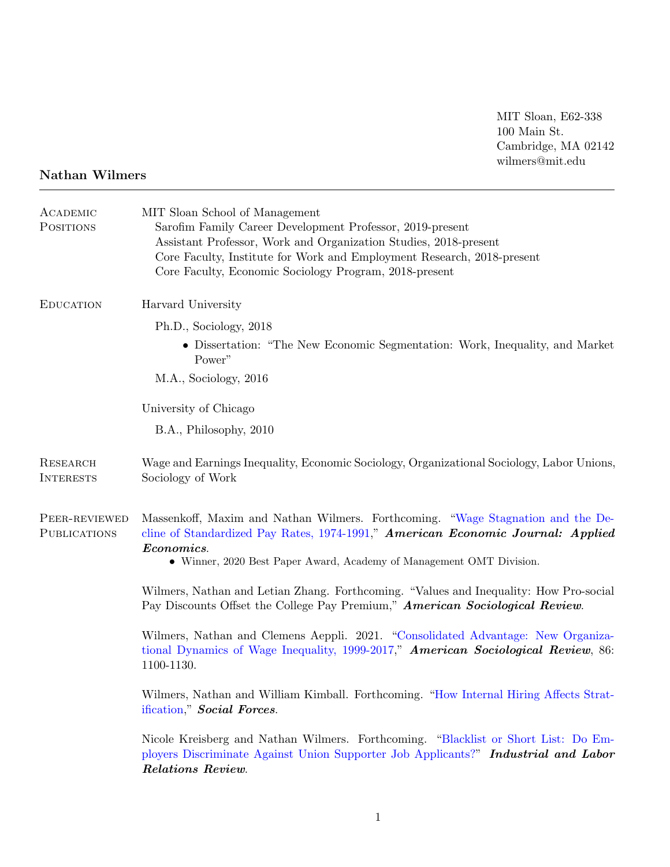MIT Sloan, E62-338 100 Main St. Cambridge, MA 02142 wilmers@mit.edu

## Nathan Wilmers

| ACADEMIC<br><b>POSITIONS</b>         | MIT Sloan School of Management<br>Sarofim Family Career Development Professor, 2019-present<br>Assistant Professor, Work and Organization Studies, 2018-present<br>Core Faculty, Institute for Work and Employment Research, 2018-present<br>Core Faculty, Economic Sociology Program, 2018-present |
|--------------------------------------|-----------------------------------------------------------------------------------------------------------------------------------------------------------------------------------------------------------------------------------------------------------------------------------------------------|
| <b>EDUCATION</b>                     | Harvard University                                                                                                                                                                                                                                                                                  |
|                                      | Ph.D., Sociology, 2018                                                                                                                                                                                                                                                                              |
|                                      | • Dissertation: "The New Economic Segmentation: Work, Inequality, and Market<br>Power"                                                                                                                                                                                                              |
|                                      | M.A., Sociology, 2016                                                                                                                                                                                                                                                                               |
|                                      | University of Chicago                                                                                                                                                                                                                                                                               |
|                                      | B.A., Philosophy, 2010                                                                                                                                                                                                                                                                              |
| <b>RESEARCH</b><br><b>INTERESTS</b>  | Wage and Earnings Inequality, Economic Sociology, Organizational Sociology, Labor Unions,<br>Sociology of Work                                                                                                                                                                                      |
| PEER-REVIEWED<br><b>PUBLICATIONS</b> | Massenkoff, Maxim and Nathan Wilmers. Forthcoming. "Wage Stagnation and the De-<br>cline of Standardized Pay Rates, 1974-1991," American Economic Journal: Applied<br>Economics.<br>• Winner, 2020 Best Paper Award, Academy of Management OMT Division.                                            |
|                                      | Wilmers, Nathan and Letian Zhang. Forthcoming. "Values and Inequality: How Pro-social<br>Pay Discounts Offset the College Pay Premium," American Sociological Review.                                                                                                                               |
|                                      | Wilmers, Nathan and Clemens Aeppli. 2021. "Consolidated Advantage: New Organiza-<br>tional Dynamics of Wage Inequality, 1999-2017," American Sociological Review, 86:<br>1100-1130.                                                                                                                 |
|                                      | Wilmers, Nathan and William Kimball. Forthcoming. "How Internal Hiring Affects Strat-<br>ification," Social Forces.                                                                                                                                                                                 |
|                                      | Nicole Kreisberg and Nathan Wilmers. Forthcoming. "Blacklist or Short List: Do Em-<br>ployers Discriminate Against Union Supporter Job Applicants?" Industrial and Labor<br>Relations Review.                                                                                                       |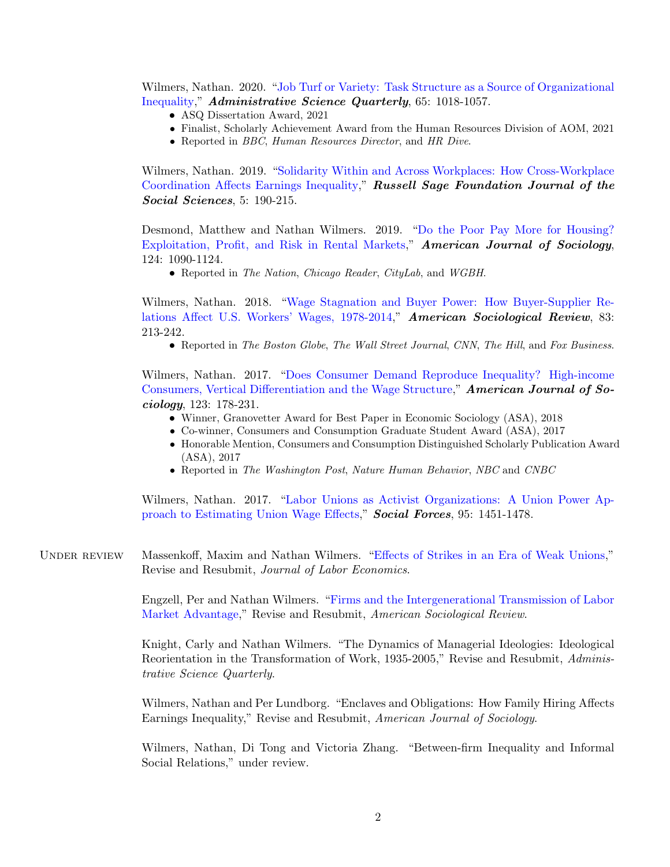Wilmers, Nathan. 2020. ["Job Turf or Variety: Task Structure as a Source of Organizational](https://doi.org/10.1177/0001839220909101) [Inequality,](https://doi.org/10.1177/0001839220909101)" Administrative Science Quarterly, 65: 1018-1057.

- ASQ Dissertation Award, 2021
- Finalist, Scholarly Achievement Award from the Human Resources Division of AOM, 2021
- Reported in *BBC*, *Human Resources Director*, and *HR Dive.*

Wilmers, Nathan. 2019. ["Solidarity Within and Across Workplaces: How Cross-Workplace](https://doi.org/10.7758/RSF.2019.5.4.07) [Coordination Affects Earnings Inequality,](https://doi.org/10.7758/RSF.2019.5.4.07)" Russell Sage Foundation Journal of the Social Sciences, 5: 190-215.

Desmond, Matthew and Nathan Wilmers. 2019. ["Do the Poor Pay More for Housing?](https://doi.org/10.1086/701697) [Exploitation, Profit, and Risk in Rental Markets,](https://doi.org/10.1086/701697)" American Journal of Sociology, 124: 1090-1124.

• Reported in The Nation, Chicago Reader, CityLab, and WGBH.

Wilmers, Nathan. 2018. ["Wage Stagnation and Buyer Power: How Buyer-Supplier Re](https://doi.org/10.1177/0003122418762441)[lations Affect U.S. Workers' Wages, 1978-2014,](https://doi.org/10.1177/0003122418762441)" American Sociological Review, 83: 213-242.

• Reported in The Boston Globe, The Wall Street Journal, CNN, The Hill, and Fox Business.

Wilmers, Nathan. 2017. ["Does Consumer Demand Reproduce Inequality? High-income](https://doi.org/10.1086/692063) [Consumers, Vertical Differentiation and the Wage Structure,](https://doi.org/10.1086/692063)" **American Journal of So**ciology, 123: 178-231.

- Winner, Granovetter Award for Best Paper in Economic Sociology (ASA), 2018
- Co-winner, Consumers and Consumption Graduate Student Award (ASA), 2017
- Honorable Mention, Consumers and Consumption Distinguished Scholarly Publication Award (ASA), 2017
- Reported in The Washington Post, Nature Human Behavior, NBC and CNBC

Wilmers, Nathan. 2017. ["Labor Unions as Activist Organizations: A Union Power Ap](https://doi.org/10.1093/sf/sow108)[proach to Estimating Union Wage Effects,](https://doi.org/10.1093/sf/sow108)" Social Forces, 95: 1451-1478.

UNDER REVIEW Massenkoff, Maxim and Nathan Wilmers. ["Effects of Strikes in an Era of Weak Unions,](http://maximmassenkoff.com/papers/Strikes_20220225.pdf)" Revise and Resubmit, Journal of Labor Economics.

> Engzell, Per and Nathan Wilmers. ["Firms and the Intergenerational Transmission of Labor](https://osf.io/preprints/socarxiv/mv3e9/) [Market Advantage,](https://osf.io/preprints/socarxiv/mv3e9/)" Revise and Resubmit, American Sociological Review.

> Knight, Carly and Nathan Wilmers. "The Dynamics of Managerial Ideologies: Ideological Reorientation in the Transformation of Work, 1935-2005," Revise and Resubmit, Administrative Science Quarterly.

> Wilmers, Nathan and Per Lundborg. "Enclaves and Obligations: How Family Hiring Affects Earnings Inequality," Revise and Resubmit, American Journal of Sociology.

> Wilmers, Nathan, Di Tong and Victoria Zhang. "Between-firm Inequality and Informal Social Relations," under review.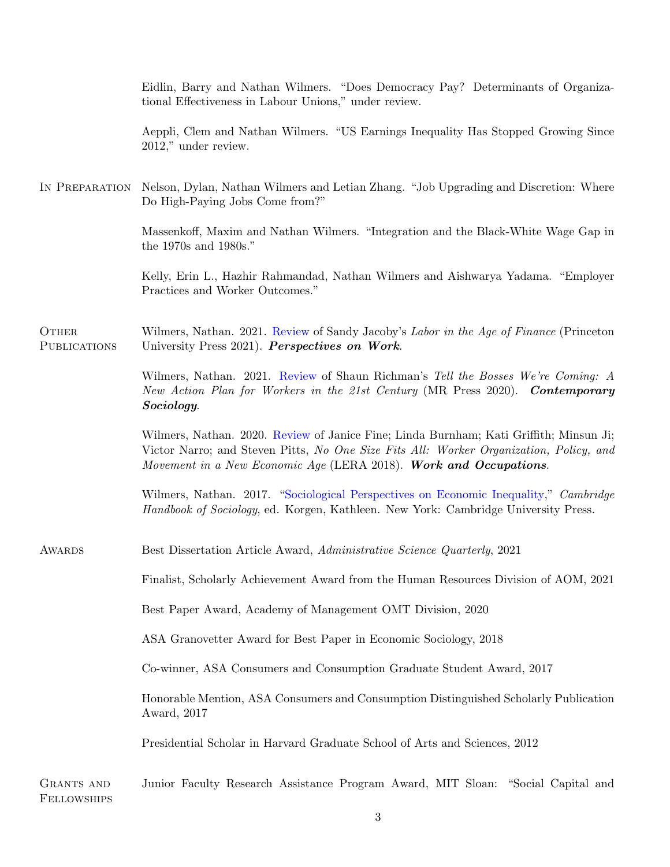|                                  | Eidlin, Barry and Nathan Wilmers. "Does Democracy Pay? Determinants of Organiza-<br>tional Effectiveness in Labour Unions," under review.                                                                                                             |
|----------------------------------|-------------------------------------------------------------------------------------------------------------------------------------------------------------------------------------------------------------------------------------------------------|
|                                  | Aeppli, Clem and Nathan Wilmers. "US Earnings Inequality Has Stopped Growing Since<br>2012," under review.                                                                                                                                            |
| IN PREPARATION                   | Nelson, Dylan, Nathan Wilmers and Letian Zhang. "Job Upgrading and Discretion: Where<br>Do High-Paying Jobs Come from?"                                                                                                                               |
|                                  | Massenkoff, Maxim and Nathan Wilmers. "Integration and the Black-White Wage Gap in<br>the 1970s and 1980s."                                                                                                                                           |
|                                  | Kelly, Erin L., Hazhir Rahmandad, Nathan Wilmers and Aishwarya Yadama. "Employer<br>Practices and Worker Outcomes."                                                                                                                                   |
| OTHER<br><b>PUBLICATIONS</b>     | Wilmers, Nathan. 2021. Review of Sandy Jacoby's Labor in the Age of Finance (Princeton<br>University Press 2021). Perspectives on Work.                                                                                                               |
|                                  | Wilmers, Nathan. 2021. Review of Shaun Richman's Tell the Bosses We're Coming: A<br>New Action Plan for Workers in the 21st Century (MR Press 2020). Contemporary<br>Sociology.                                                                       |
|                                  | Wilmers, Nathan. 2020. Review of Janice Fine; Linda Burnham; Kati Griffith; Minsun Ji;<br>Victor Narro; and Steven Pitts, No One Size Fits All: Worker Organization, Policy, and<br>Movement in a New Economic Age (LERA 2018). Work and Occupations. |
|                                  | Wilmers, Nathan. 2017. "Sociological Perspectives on Economic Inequality," Cambridge<br>Handbook of Sociology, ed. Korgen, Kathleen. New York: Cambridge University Press.                                                                            |
| <b>AWARDS</b>                    | Best Dissertation Article Award, Administrative Science Quarterly, 2021                                                                                                                                                                               |
|                                  | Finalist, Scholarly Achievement Award from the Human Resources Division of AOM, 2021                                                                                                                                                                  |
|                                  | Best Paper Award, Academy of Management OMT Division, 2020                                                                                                                                                                                            |
|                                  | ASA Granovetter Award for Best Paper in Economic Sociology, 2018                                                                                                                                                                                      |
|                                  | Co-winner, ASA Consumers and Consumption Graduate Student Award, 2017                                                                                                                                                                                 |
|                                  | Honorable Mention, ASA Consumers and Consumption Distinguished Scholarly Publication<br>Award, 2017                                                                                                                                                   |
|                                  | Presidential Scholar in Harvard Graduate School of Arts and Sciences, 2012                                                                                                                                                                            |
| <b>GRANTS AND</b><br>FELLOWSHIPS | Junior Faculty Research Assistance Program Award, MIT Sloan: "Social Capital and                                                                                                                                                                      |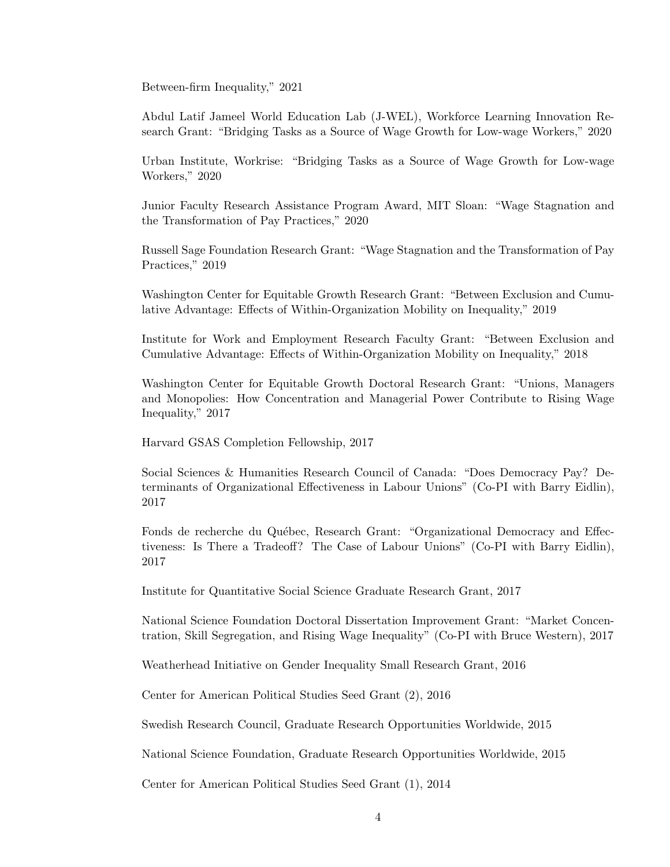Between-firm Inequality," 2021

Abdul Latif Jameel World Education Lab (J-WEL), Workforce Learning Innovation Research Grant: "Bridging Tasks as a Source of Wage Growth for Low-wage Workers," 2020

Urban Institute, Workrise: "Bridging Tasks as a Source of Wage Growth for Low-wage Workers," 2020

Junior Faculty Research Assistance Program Award, MIT Sloan: "Wage Stagnation and the Transformation of Pay Practices," 2020

Russell Sage Foundation Research Grant: "Wage Stagnation and the Transformation of Pay Practices," 2019

Washington Center for Equitable Growth Research Grant: "Between Exclusion and Cumulative Advantage: Effects of Within-Organization Mobility on Inequality," 2019

Institute for Work and Employment Research Faculty Grant: "Between Exclusion and Cumulative Advantage: Effects of Within-Organization Mobility on Inequality," 2018

Washington Center for Equitable Growth Doctoral Research Grant: "Unions, Managers and Monopolies: How Concentration and Managerial Power Contribute to Rising Wage Inequality," 2017

Harvard GSAS Completion Fellowship, 2017

Social Sciences & Humanities Research Council of Canada: "Does Democracy Pay? Determinants of Organizational Effectiveness in Labour Unions" (Co-PI with Barry Eidlin), 2017

Fonds de recherche du Québec, Research Grant: "Organizational Democracy and Effectiveness: Is There a Tradeoff? The Case of Labour Unions" (Co-PI with Barry Eidlin), 2017

Institute for Quantitative Social Science Graduate Research Grant, 2017

National Science Foundation Doctoral Dissertation Improvement Grant: "Market Concentration, Skill Segregation, and Rising Wage Inequality" (Co-PI with Bruce Western), 2017

Weatherhead Initiative on Gender Inequality Small Research Grant, 2016

Center for American Political Studies Seed Grant (2), 2016

Swedish Research Council, Graduate Research Opportunities Worldwide, 2015

National Science Foundation, Graduate Research Opportunities Worldwide, 2015

Center for American Political Studies Seed Grant (1), 2014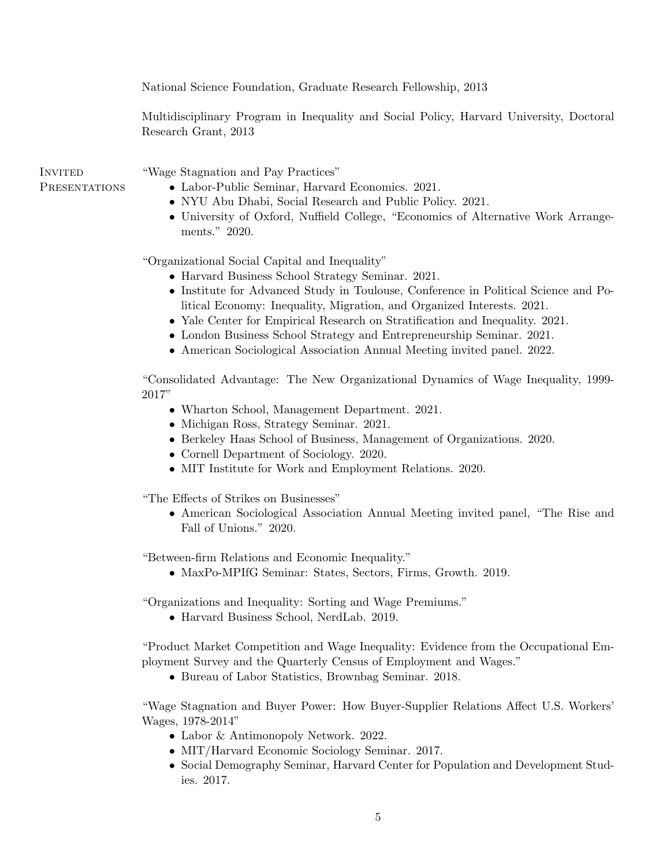National Science Foundation, Graduate Research Fellowship, 2013

Multidisciplinary Program in Inequality and Social Policy, Harvard University, Doctoral Research Grant, 2013

**INVITED PRESENTATIONS**  "Wage Stagnation and Pay Practices"

- Labor-Public Seminar, Harvard Economics. 2021.
- NYU Abu Dhabi, Social Research and Public Policy. 2021.
- University of Oxford, Nuffield College, "Economics of Alternative Work Arrangements." 2020.

"Organizational Social Capital and Inequality"

- Harvard Business School Strategy Seminar. 2021.
- Institute for Advanced Study in Toulouse, Conference in Political Science and Political Economy: Inequality, Migration, and Organized Interests. 2021.
- Yale Center for Empirical Research on Stratification and Inequality. 2021.
- London Business School Strategy and Entrepreneurship Seminar. 2021.
- American Sociological Association Annual Meeting invited panel. 2022.

"Consolidated Advantage: The New Organizational Dynamics of Wage Inequality, 1999- 2017"

- Wharton School, Management Department. 2021.
- Michigan Ross, Strategy Seminar. 2021.
- Berkeley Haas School of Business, Management of Organizations. 2020.
- Cornell Department of Sociology. 2020.
- MIT Institute for Work and Employment Relations. 2020.

"The Effects of Strikes on Businesses"

• American Sociological Association Annual Meeting invited panel, "The Rise and Fall of Unions." 2020.

"Between-firm Relations and Economic Inequality."

• MaxPo-MPIfG Seminar: States, Sectors, Firms, Growth. 2019.

"Organizations and Inequality: Sorting and Wage Premiums."

• Harvard Business School, NerdLab. 2019.

"Product Market Competition and Wage Inequality: Evidence from the Occupational Employment Survey and the Quarterly Census of Employment and Wages."

• Bureau of Labor Statistics, Brownbag Seminar. 2018.

"Wage Stagnation and Buyer Power: How Buyer-Supplier Relations Affect U.S. Workers' Wages, 1978-2014"

- Labor & Antimonopoly Network. 2022.
- MIT/Harvard Economic Sociology Seminar. 2017.
- Social Demography Seminar, Harvard Center for Population and Development Studies. 2017.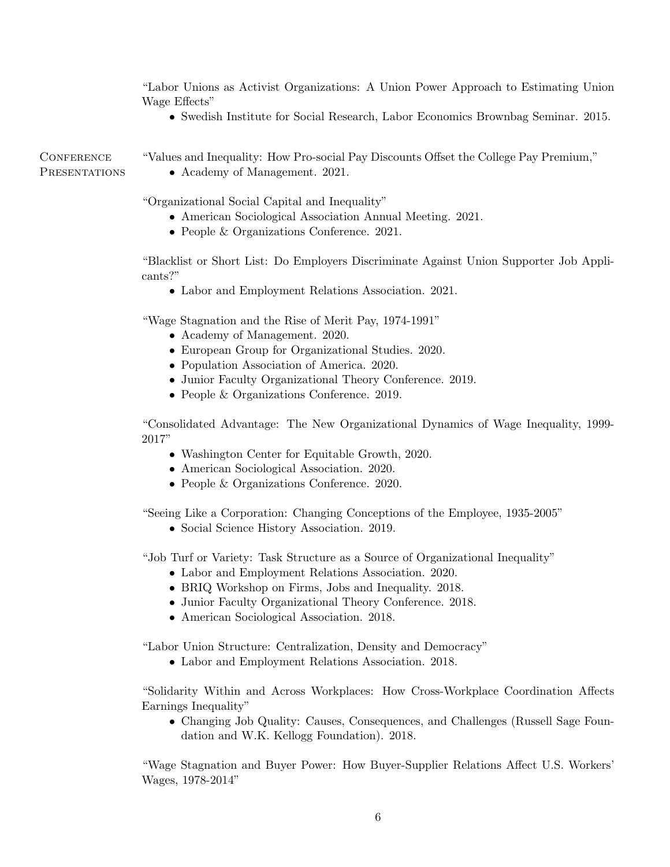"Labor Unions as Activist Organizations: A Union Power Approach to Estimating Union Wage Effects"

• Swedish Institute for Social Research, Labor Economics Brownbag Seminar. 2015.

**CONFERENCE PRESENTATIONS** 

- "Values and Inequality: How Pro-social Pay Discounts Offset the College Pay Premium,"
	- Academy of Management. 2021.

"Organizational Social Capital and Inequality"

- American Sociological Association Annual Meeting. 2021.
- People & Organizations Conference. 2021.

"Blacklist or Short List: Do Employers Discriminate Against Union Supporter Job Applicants?"

• Labor and Employment Relations Association. 2021.

"Wage Stagnation and the Rise of Merit Pay, 1974-1991"

- Academy of Management. 2020.
- European Group for Organizational Studies. 2020.
- Population Association of America. 2020.
- Junior Faculty Organizational Theory Conference. 2019.
- People & Organizations Conference. 2019.

"Consolidated Advantage: The New Organizational Dynamics of Wage Inequality, 1999- 2017"

- Washington Center for Equitable Growth, 2020.
- American Sociological Association. 2020.
- People & Organizations Conference. 2020.

"Seeing Like a Corporation: Changing Conceptions of the Employee, 1935-2005"

• Social Science History Association. 2019.

"Job Turf or Variety: Task Structure as a Source of Organizational Inequality"

- Labor and Employment Relations Association. 2020.
- BRIQ Workshop on Firms, Jobs and Inequality. 2018.
- Junior Faculty Organizational Theory Conference. 2018.
- American Sociological Association. 2018.

"Labor Union Structure: Centralization, Density and Democracy"

• Labor and Employment Relations Association. 2018.

"Solidarity Within and Across Workplaces: How Cross-Workplace Coordination Affects Earnings Inequality"

• Changing Job Quality: Causes, Consequences, and Challenges (Russell Sage Foundation and W.K. Kellogg Foundation). 2018.

"Wage Stagnation and Buyer Power: How Buyer-Supplier Relations Affect U.S. Workers' Wages, 1978-2014"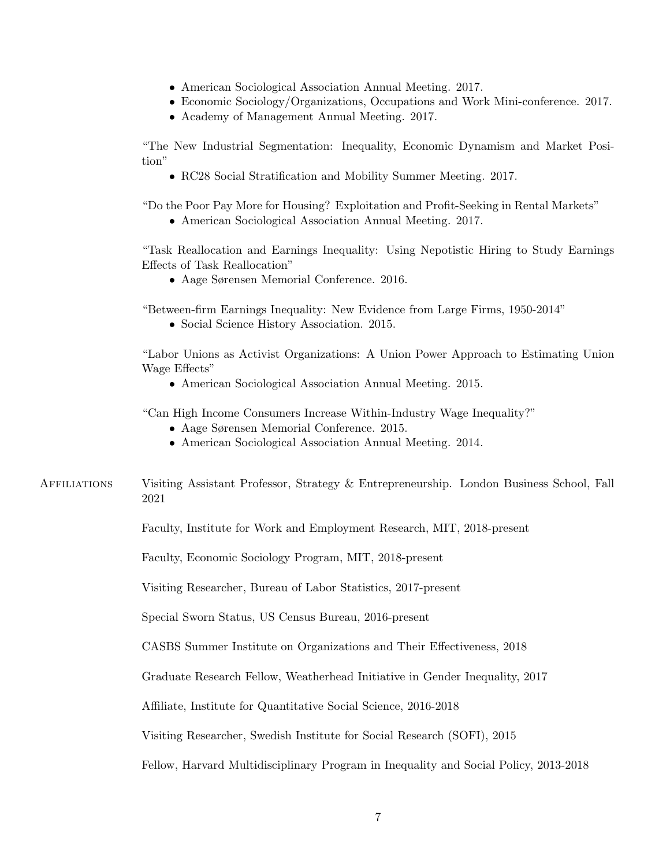- American Sociological Association Annual Meeting. 2017.
- Economic Sociology/Organizations, Occupations and Work Mini-conference. 2017.
- Academy of Management Annual Meeting. 2017.

"The New Industrial Segmentation: Inequality, Economic Dynamism and Market Position"

• RC28 Social Stratification and Mobility Summer Meeting. 2017.

"Do the Poor Pay More for Housing? Exploitation and Profit-Seeking in Rental Markets"

• American Sociological Association Annual Meeting. 2017.

"Task Reallocation and Earnings Inequality: Using Nepotistic Hiring to Study Earnings Effects of Task Reallocation"

• Aage Sørensen Memorial Conference. 2016.

"Between-firm Earnings Inequality: New Evidence from Large Firms, 1950-2014"

• Social Science History Association. 2015.

"Labor Unions as Activist Organizations: A Union Power Approach to Estimating Union Wage Effects"

• American Sociological Association Annual Meeting. 2015.

"Can High Income Consumers Increase Within-Industry Wage Inequality?"

- Aage Sørensen Memorial Conference. 2015.
- American Sociological Association Annual Meeting. 2014.

Affiliations Visiting Assistant Professor, Strategy & Entrepreneurship. London Business School, Fall 2021

Faculty, Institute for Work and Employment Research, MIT, 2018-present

Faculty, Economic Sociology Program, MIT, 2018-present

Visiting Researcher, Bureau of Labor Statistics, 2017-present

Special Sworn Status, US Census Bureau, 2016-present

CASBS Summer Institute on Organizations and Their Effectiveness, 2018

Graduate Research Fellow, Weatherhead Initiative in Gender Inequality, 2017

Affiliate, Institute for Quantitative Social Science, 2016-2018

Visiting Researcher, Swedish Institute for Social Research (SOFI), 2015

Fellow, Harvard Multidisciplinary Program in Inequality and Social Policy, 2013-2018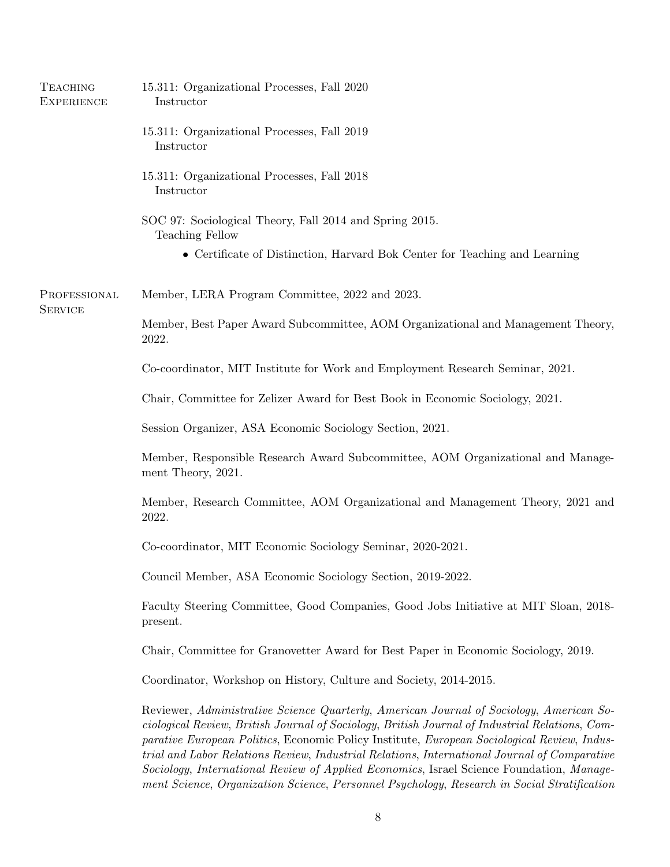| <b>TEACHING</b><br><b>EXPERIENCE</b> | 15.311: Organizational Processes, Fall 2020<br>Instructor                                                                                                                                                                                                                                                                                                                                                                                                                                                                                                                           |
|--------------------------------------|-------------------------------------------------------------------------------------------------------------------------------------------------------------------------------------------------------------------------------------------------------------------------------------------------------------------------------------------------------------------------------------------------------------------------------------------------------------------------------------------------------------------------------------------------------------------------------------|
|                                      | 15.311: Organizational Processes, Fall 2019<br>Instructor                                                                                                                                                                                                                                                                                                                                                                                                                                                                                                                           |
|                                      | 15.311: Organizational Processes, Fall 2018<br>Instructor                                                                                                                                                                                                                                                                                                                                                                                                                                                                                                                           |
|                                      | SOC 97: Sociological Theory, Fall 2014 and Spring 2015.<br>Teaching Fellow                                                                                                                                                                                                                                                                                                                                                                                                                                                                                                          |
|                                      | • Certificate of Distinction, Harvard Bok Center for Teaching and Learning                                                                                                                                                                                                                                                                                                                                                                                                                                                                                                          |
| PROFESSIONAL<br><b>SERVICE</b>       | Member, LERA Program Committee, 2022 and 2023.                                                                                                                                                                                                                                                                                                                                                                                                                                                                                                                                      |
|                                      | Member, Best Paper Award Subcommittee, AOM Organizational and Management Theory,<br>2022.                                                                                                                                                                                                                                                                                                                                                                                                                                                                                           |
|                                      | Co-coordinator, MIT Institute for Work and Employment Research Seminar, 2021.                                                                                                                                                                                                                                                                                                                                                                                                                                                                                                       |
|                                      | Chair, Committee for Zelizer Award for Best Book in Economic Sociology, 2021.                                                                                                                                                                                                                                                                                                                                                                                                                                                                                                       |
|                                      | Session Organizer, ASA Economic Sociology Section, 2021.                                                                                                                                                                                                                                                                                                                                                                                                                                                                                                                            |
|                                      | Member, Responsible Research Award Subcommittee, AOM Organizational and Manage-<br>ment Theory, 2021.                                                                                                                                                                                                                                                                                                                                                                                                                                                                               |
|                                      | Member, Research Committee, AOM Organizational and Management Theory, 2021 and<br>2022.                                                                                                                                                                                                                                                                                                                                                                                                                                                                                             |
|                                      | Co-coordinator, MIT Economic Sociology Seminar, 2020-2021.                                                                                                                                                                                                                                                                                                                                                                                                                                                                                                                          |
|                                      | Council Member, ASA Economic Sociology Section, 2019-2022.                                                                                                                                                                                                                                                                                                                                                                                                                                                                                                                          |
|                                      | Faculty Steering Committee, Good Companies, Good Jobs Initiative at MIT Sloan, 2018-<br>present.                                                                                                                                                                                                                                                                                                                                                                                                                                                                                    |
|                                      | Chair, Committee for Granovetter Award for Best Paper in Economic Sociology, 2019.                                                                                                                                                                                                                                                                                                                                                                                                                                                                                                  |
|                                      | Coordinator, Workshop on History, Culture and Society, 2014-2015.                                                                                                                                                                                                                                                                                                                                                                                                                                                                                                                   |
|                                      | Reviewer, Administrative Science Quarterly, American Journal of Sociology, American So-<br>ciological Review, British Journal of Sociology, British Journal of Industrial Relations, Com-<br>parative European Politics, Economic Policy Institute, European Sociological Review, Indus-<br>trial and Labor Relations Review, Industrial Relations, International Journal of Comparative<br>Sociology, International Review of Applied Economics, Israel Science Foundation, Manage-<br>ment Science, Organization Science, Personnel Psychology, Research in Social Stratification |